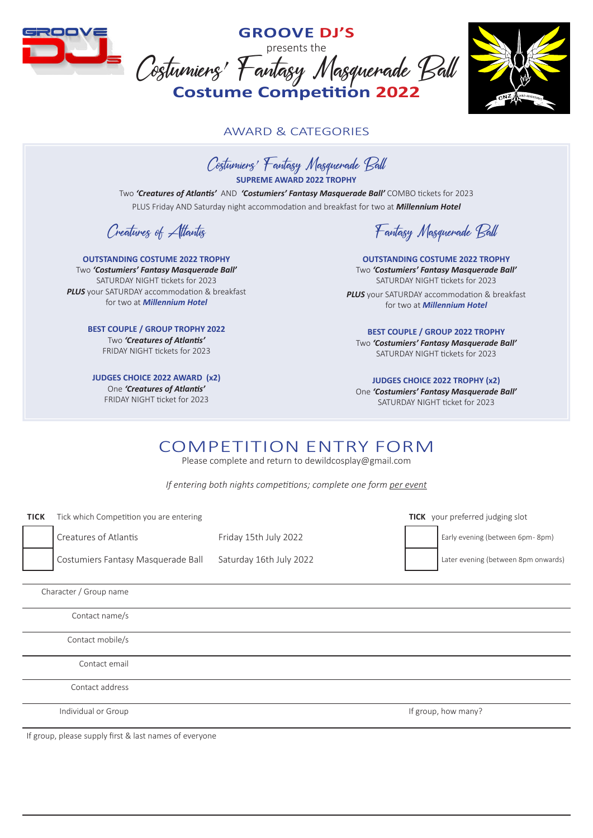

# **GROOVE DJ'S** presents the Costumiers' Fantasy Masquerade Ball **Costume Competition <sup>2022</sup>**



AWARD & CATEGORIES



Creatures of Atlantis

**OUTSTANDING COSTUME 2022 TROPHY** Two *'Costumiers' Fantasy Masquerade Ball'*  SATURDAY NIGHT tickets for 2023 **PLUS** vour SATURDAY accommodation & breakfast for two at *Millennium Hotel*

> **BEST COUPLE / GROUP TROPHY 2022** Two *'Creatures of Atlantis'* FRIDAY NIGHT tickets for 2023

**JUDGES CHOICE 2022 AWARD (x2)** One *'Creatures of Atlantis'* FRIDAY NIGHT ticket for 2023

Fantasy Masquerade Ball

**OUTSTANDING COSTUME 2022 TROPHY** Two *'Costumiers' Fantasy Masquerade Ball'*  SATURDAY NIGHT tickets for 2023 *PLUS* vour SATURDAY accommodation & breakfast for two at *Millennium Hotel*

**BEST COUPLE / GROUP 2022 TROPHY** Two *'Costumiers' Fantasy Masquerade Ball'*  SATURDAY NIGHT tickets for 2023

**JUDGES CHOICE 2022 TROPHY (x2)** One *'Costumiers' Fantasy Masquerade Ball'*  SATURDAY NIGHT ticket for 2023

COMPETITION ENTRY FORM

Please complete and return to dewildcosplay@gmail.com

*If entering both nights competitions; complete one form per event* 

**TICK** Tick which Competition you are entering **TICK** your preferred judging slot Creatures of Atlantis Friday 15th July 2022 Early evening (between 6pm - 8pm) Costumiers Fantasy Masquerade Ball Saturday 16th July 2022 Later evening (between 8pm onwards)

Character / Group name

Contact name/s

Contact mobile/s

Contact email

Contact address

Individual or Group Individual or Group If group, how many?

If group, please supply first & last names of everyone